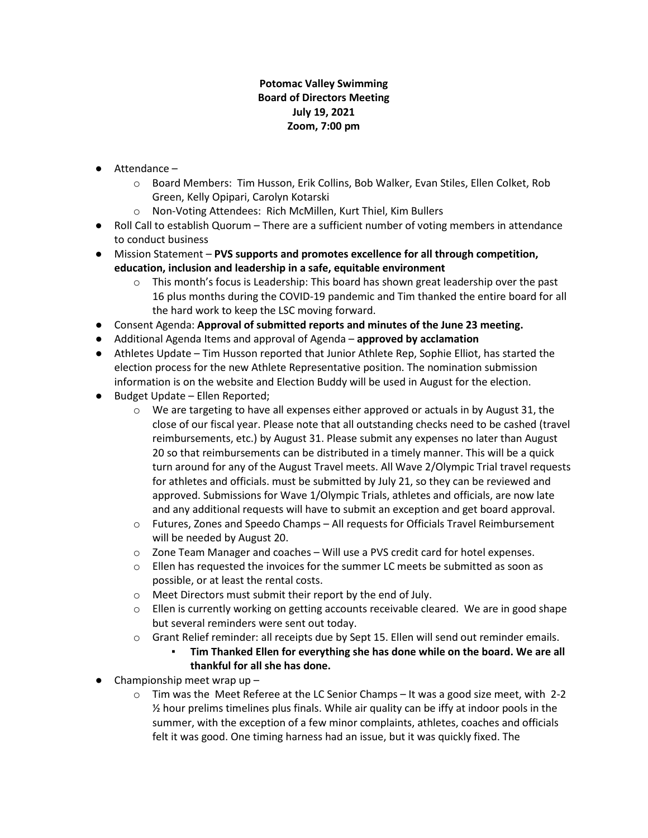## **Potomac Valley Swimming Board of Directors Meeting July 19, 2021 Zoom, 7:00 pm**

- Attendance
	- o Board Members: Tim Husson, Erik Collins, Bob Walker, Evan Stiles, Ellen Colket, Rob Green, Kelly Opipari, Carolyn Kotarski
	- o Non-Voting Attendees: Rich McMillen, Kurt Thiel, Kim Bullers
- Roll Call to establish Quorum There are a sufficient number of voting members in attendance to conduct business
- Mission Statement **PVS supports and promotes excellence for all through competition, education, inclusion and leadership in a safe, equitable environment**
	- $\circ$  This month's focus is Leadership: This board has shown great leadership over the past 16 plus months during the COVID-19 pandemic and Tim thanked the entire board for all the hard work to keep the LSC moving forward.
- Consent Agenda: **Approval of submitted reports and minutes of the June 23 meeting.**
- Additional Agenda Items and approval of Agenda **approved by acclamation**
- Athletes Update Tim Husson reported that Junior Athlete Rep, Sophie Elliot, has started the election process for the new Athlete Representative position. The nomination submission information is on the website and Election Buddy will be used in August for the election.
- Budget Update Ellen Reported;
	- $\circ$  We are targeting to have all expenses either approved or actuals in by August 31, the close of our fiscal year. Please note that all outstanding checks need to be cashed (travel reimbursements, etc.) by August 31. Please submit any expenses no later than August 20 so that reimbursements can be distributed in a timely manner. This will be a quick turn around for any of the August Travel meets. All Wave 2/Olympic Trial travel requests for athletes and officials. must be submitted by July 21, so they can be reviewed and approved. Submissions for Wave 1/Olympic Trials, athletes and officials, are now late and any additional requests will have to submit an exception and get board approval.
	- o Futures, Zones and Speedo Champs All requests for Officials Travel Reimbursement will be needed by August 20.
	- o Zone Team Manager and coaches Will use a PVS credit card for hotel expenses.
	- $\circ$  Ellen has requested the invoices for the summer LC meets be submitted as soon as possible, or at least the rental costs.
	- o Meet Directors must submit their report by the end of July.
	- $\circ$  Ellen is currently working on getting accounts receivable cleared. We are in good shape but several reminders were sent out today.
	- o Grant Relief reminder: all receipts due by Sept 15. Ellen will send out reminder emails.
		- Tim Thanked Ellen for everything she has done while on the board. We are all **thankful for all she has done.**
- $\bullet$  Championship meet wrap up -
	- $\circ$  Tim was the Meet Referee at the LC Senior Champs It was a good size meet, with 2-2  $\frac{1}{2}$  hour prelims timelines plus finals. While air quality can be iffy at indoor pools in the summer, with the exception of a few minor complaints, athletes, coaches and officials felt it was good. One timing harness had an issue, but it was quickly fixed. The